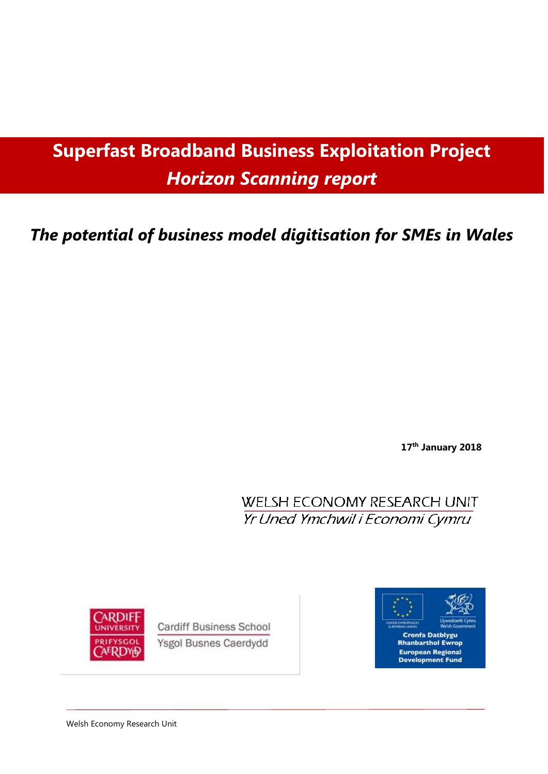# **Superfast Broadband Business Exploitation Project** *Horizon Scanning report*

## *The potential of business model digitisation for SMEs in Wales*

**17 th January 2018**

**WELSH ECONOMY RESEARCH UNIT** Yr Uned Ymchwil i Economi Cymru



**Cardiff Business School** Ysgol Busnes Caerdydd



Welsh Economy Research Unit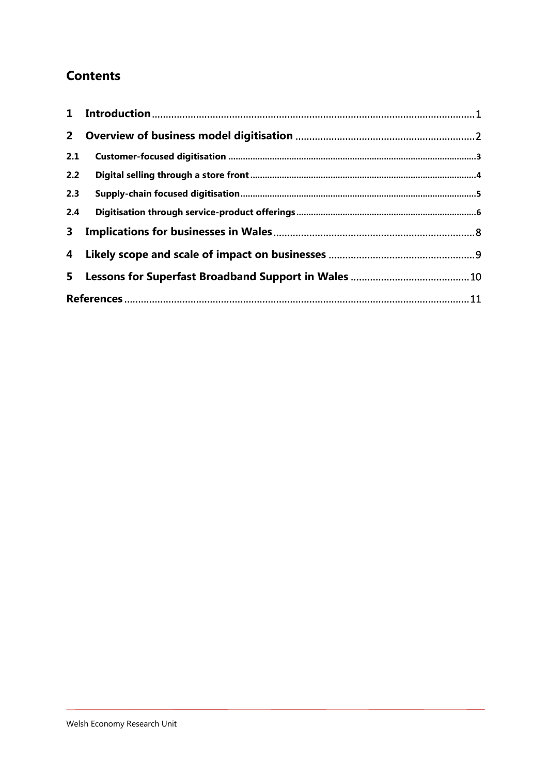## **Contents**

| $2^{\circ}$    |  |
|----------------|--|
| 2.1            |  |
| 2.2            |  |
| 2.3            |  |
| 2.4            |  |
| 3 <sup>1</sup> |  |
|                |  |
| 5              |  |
|                |  |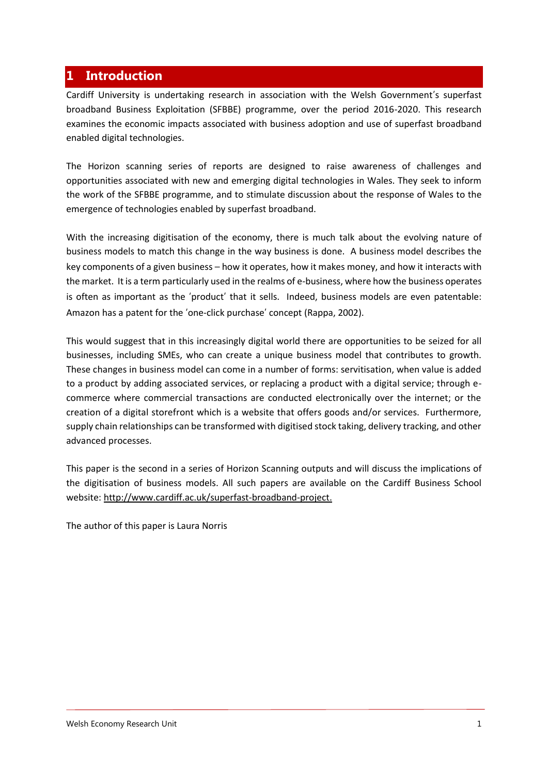## <span id="page-2-0"></span>**1 Introduction**

Cardiff University is undertaking research in association with the Welsh Government's superfast broadband Business Exploitation (SFBBE) programme, over the period 2016-2020. This research examines the economic impacts associated with business adoption and use of superfast broadband enabled digital technologies.

The Horizon scanning series of reports are designed to raise awareness of challenges and opportunities associated with new and emerging digital technologies in Wales. They seek to inform the work of the SFBBE programme, and to stimulate discussion about the response of Wales to the emergence of technologies enabled by superfast broadband.

With the increasing digitisation of the economy, there is much talk about the evolving nature of business models to match this change in the way business is done. A business model describes the key components of a given business – how it operates, how it makes money, and how it interacts with the market. It is a term particularly used in the realms of e-business, where how the business operates is often as important as the 'product' that it sells. Indeed, business models are even patentable: Amazon has a patent for the 'one-click purchase' concept (Rappa, 2002).

This would suggest that in this increasingly digital world there are opportunities to be seized for all businesses, including SMEs, who can create a unique business model that contributes to growth. These changes in business model can come in a number of forms: servitisation, when value is added to a product by adding associated services, or replacing a product with a digital service; through ecommerce where commercial transactions are conducted electronically over the internet; or the creation of a digital storefront which is a website that offers goods and/or services. Furthermore, supply chain relationships can be transformed with digitised stock taking, delivery tracking, and other advanced processes.

This paper is the second in a series of Horizon Scanning outputs and will discuss the implications of the digitisation of business models. All such papers are available on the Cardiff Business School website[: http://www.cardiff.ac.uk/superfast-broadband-project.](http://www.cardiff.ac.uk/superfast-broadband-project)

The author of this paper is Laura Norris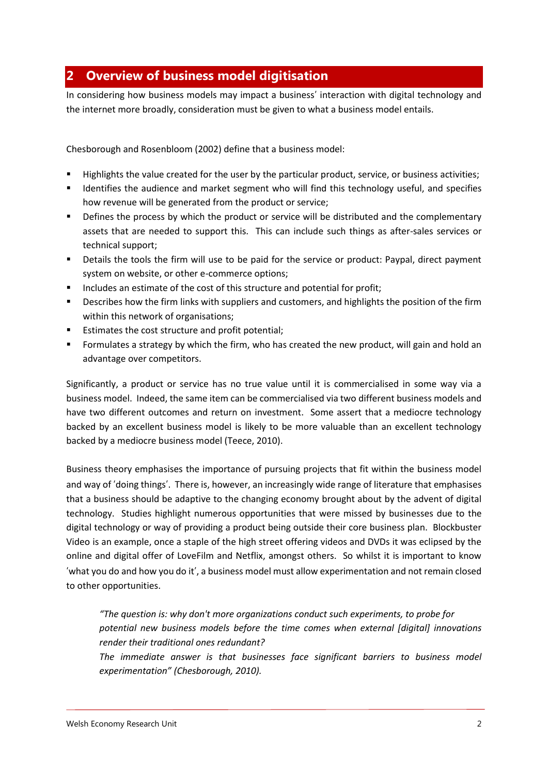## <span id="page-3-0"></span>**2 Overview of business model digitisation**

In considering how business models may impact a business' interaction with digital technology and the internet more broadly, consideration must be given to what a business model entails.

Chesborough and Rosenbloom (2002) define that a business model:

- Highlights the value created for the user by the particular product, service, or business activities;
- Identifies the audience and market segment who will find this technology useful, and specifies how revenue will be generated from the product or service;
- **•** Defines the process by which the product or service will be distributed and the complementary assets that are needed to support this. This can include such things as after-sales services or technical support;
- Details the tools the firm will use to be paid for the service or product: Paypal, direct payment system on website, or other e-commerce options;
- Includes an estimate of the cost of this structure and potential for profit;
- **•** Describes how the firm links with suppliers and customers, and highlights the position of the firm within this network of organisations;
- **Estimates the cost structure and profit potential;**
- Formulates a strategy by which the firm, who has created the new product, will gain and hold an advantage over competitors.

Significantly, a product or service has no true value until it is commercialised in some way via a business model. Indeed, the same item can be commercialised via two different business models and have two different outcomes and return on investment. Some assert that a mediocre technology backed by an excellent business model is likely to be more valuable than an excellent technology backed by a mediocre business model (Teece, 2010).

Business theory emphasises the importance of pursuing projects that fit within the business model and way of 'doing things'. There is, however, an increasingly wide range of literature that emphasises that a business should be adaptive to the changing economy brought about by the advent of digital technology. Studies highlight numerous opportunities that were missed by businesses due to the digital technology or way of providing a product being outside their core business plan. Blockbuster Video is an example, once a staple of the high street offering videos and DVDs it was eclipsed by the online and digital offer of LoveFilm and Netflix, amongst others. So whilst it is important to know 'what you do and how you do it', a business model must allow experimentation and not remain closed to other opportunities.

*"The question is: why don't more organizations conduct such experiments, to probe for potential new business models before the time comes when external [digital] innovations render their traditional ones redundant?*

*The immediate answer is that businesses face significant barriers to business model experimentation" (Chesborough, 2010).*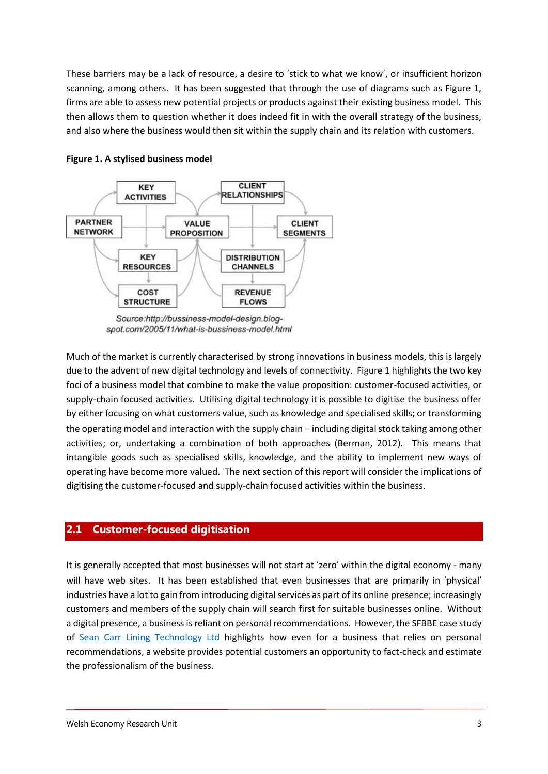These barriers may be a lack of resource, a desire to 'stick to what we know', or insufficient horizon scanning, among others. It has been suggested that through the use of diagrams such as Figure 1, firms are able to assess new potential projects or products against their existing business model. This then allows them to question whether it does indeed fit in with the overall strategy of the business, and also where the business would then sit within the supply chain and its relation with customers.



#### **Figure 1. A stylised business model**

Source:http://bussiness-model-design.blogspot.com/2005/11/what-is-bussiness-model.html

Much of the market is currently characterised by strong innovations in business models, this is largely due to the advent of new digital technology and levels of connectivity. Figure 1 highlights the two key foci of a business model that combine to make the value proposition: customer-focused activities, or supply-chain focused activities. Utilising digital technology it is possible to digitise the business offer by either focusing on what customers value, such as knowledge and specialised skills; or transforming the operating model and interaction with the supply chain – including digital stock taking among other activities; or, undertaking a combination of both approaches (Berman, 2012). This means that intangible goods such as specialised skills, knowledge, and the ability to implement new ways of operating have become more valued. The next section of this report will consider the implications of digitising the customer-focused and supply-chain focused activities within the business.

#### <span id="page-4-0"></span>**2.1 Customer-focused digitisation**

It is generally accepted that most businesses will not start at 'zero' within the digital economy - many will have web sites. It has been established that even businesses that are primarily in 'physical' industries have a lot to gain from introducing digital services as part of its online presence; increasingly customers and members of the supply chain will search first for suitable businesses online. Without a digital presence, a business is reliant on personal recommendations. However, the SFBBE case study of [Sean Carr Lining Technology Ltd](http://www.cardiff.ac.uk/superfast-broadband-project/case-studies/sean-carr-lining-technology-ltd) highlights how even for a business that relies on personal recommendations, a website provides potential customers an opportunity to fact-check and estimate the professionalism of the business.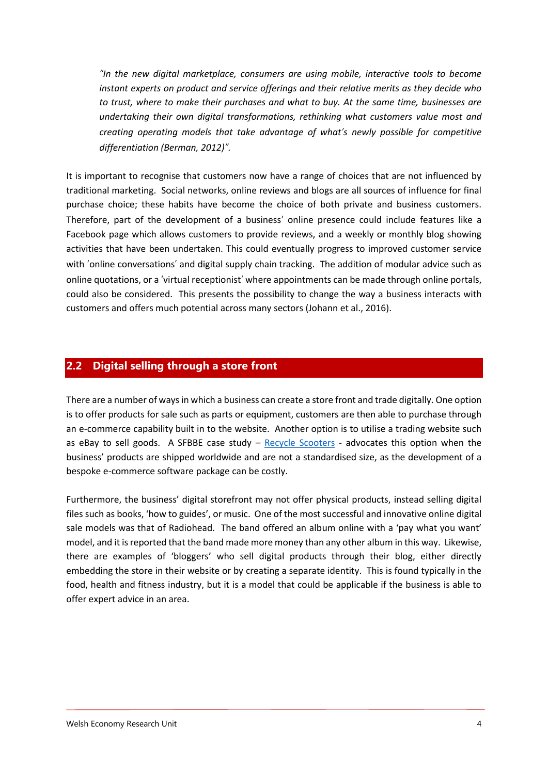*"In the new digital marketplace, consumers are using mobile, interactive tools to become instant experts on product and service offerings and their relative merits as they decide who to trust, where to make their purchases and what to buy. At the same time, businesses are undertaking their own digital transformations, rethinking what customers value most and creating operating models that take advantage of what's newly possible for competitive differentiation (Berman, 2012)".* 

It is important to recognise that customers now have a range of choices that are not influenced by traditional marketing. Social networks, online reviews and blogs are all sources of influence for final purchase choice; these habits have become the choice of both private and business customers. Therefore, part of the development of a business' online presence could include features like a Facebook page which allows customers to provide reviews, and a weekly or monthly blog showing activities that have been undertaken. This could eventually progress to improved customer service with 'online conversations' and digital supply chain tracking. The addition of modular advice such as online quotations, or a 'virtual receptionist' where appointments can be made through online portals, could also be considered. This presents the possibility to change the way a business interacts with customers and offers much potential across many sectors (Johann et al., 2016).

#### <span id="page-5-0"></span>**2.2 Digital selling through a store front**

There are a number of ways in which a business can create a store front and trade digitally. One option is to offer products for sale such as parts or equipment, customers are then able to purchase through an e-commerce capability built in to the website. Another option is to utilise a trading website such as eBay to sell goods. A SFBBE case study  $-$  [Recycle Scooters](http://stores.ebay.co.uk/Recycle-Scooters) - advocates this option when the business' products are shipped worldwide and are not a standardised size, as the development of a bespoke e-commerce software package can be costly.

Furthermore, the business' digital storefront may not offer physical products, instead selling digital files such as books, 'how to guides', or music. One of the most successful and innovative online digital sale models was that of Radiohead. The band offered an album online with a 'pay what you want' model, and it is reported that the band made more money than any other album in this way. Likewise, there are examples of 'bloggers' who sell digital products through their blog, either directly embedding the store in their website or by creating a separate identity. This is found typically in the food, health and fitness industry, but it is a model that could be applicable if the business is able to offer expert advice in an area.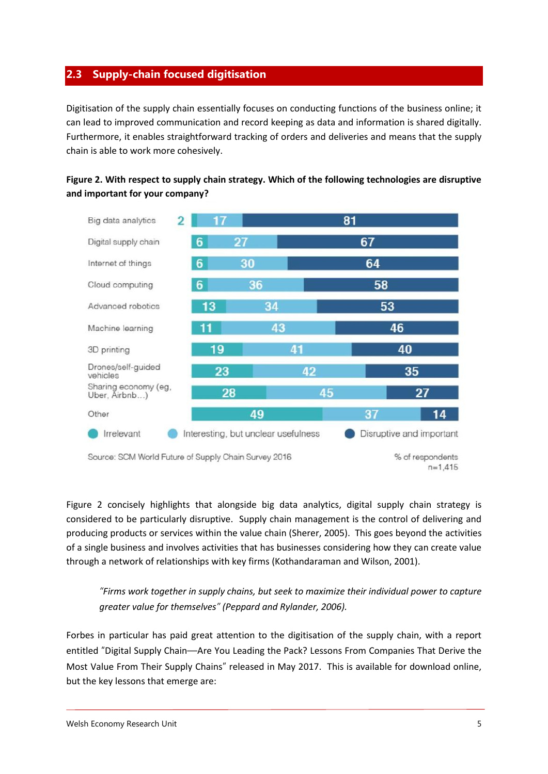#### <span id="page-6-0"></span>**2.3 Supply-chain focused digitisation**

Digitisation of the supply chain essentially focuses on conducting functions of the business online; it can lead to improved communication and record keeping as data and information is shared digitally. Furthermore, it enables straightforward tracking of orders and deliveries and means that the supply chain is able to work more cohesively.





Figure 2 concisely highlights that alongside big data analytics, digital supply chain strategy is considered to be particularly disruptive. Supply chain management is the control of delivering and producing products or services within the value chain (Sherer, 2005). This goes beyond the activities of a single business and involves activities that has businesses considering how they can create value through a network of relationships with key firms (Kothandaraman and Wilson, 2001).

*"Firms work together in supply chains, but seek to maximize their individual power to capture greater value for themselves" (Peppard and Rylander, 2006).*

Forbes in particular has paid great attention to the digitisation of the supply chain, with a report entitled "Digital Supply Chain—Are You Leading the Pack? Lessons From Companies That Derive the Most Value From Their Supply Chains" released in May 2017. This is available for download online, but the key lessons that emerge are: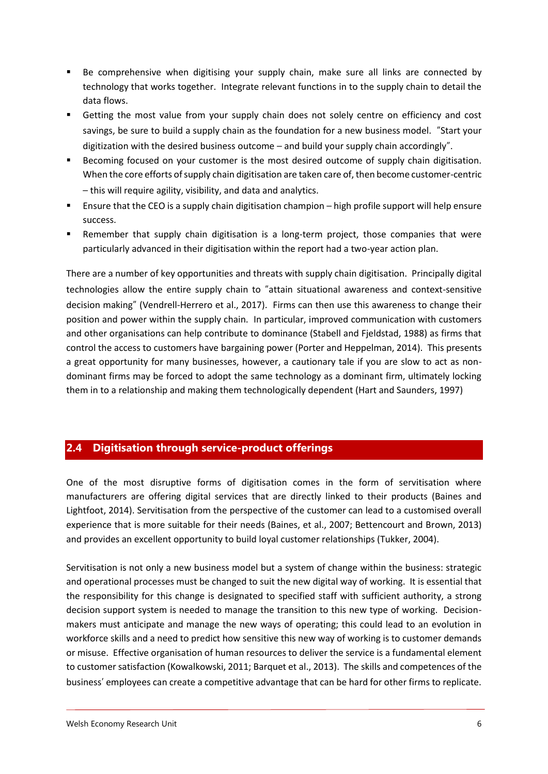- Be comprehensive when digitising your supply chain, make sure all links are connected by technology that works together. Integrate relevant functions in to the supply chain to detail the data flows.
- **EXT** Getting the most value from your supply chain does not solely centre on efficiency and cost savings, be sure to build a supply chain as the foundation for a new business model. "Start your digitization with the desired business outcome – and build your supply chain accordingly".
- Becoming focused on your customer is the most desired outcome of supply chain digitisation. When the core efforts of supply chain digitisation are taken care of, then become customer-centric – this will require agility, visibility, and data and analytics.
- Ensure that the CEO is a supply chain digitisation champion high profile support will help ensure success.
- **EXECT** Remember that supply chain digitisation is a long-term project, those companies that were particularly advanced in their digitisation within the report had a two-year action plan.

There are a number of key opportunities and threats with supply chain digitisation. Principally digital technologies allow the entire supply chain to "attain situational awareness and context-sensitive decision making" (Vendrell-Herrero et al., 2017). Firms can then use this awareness to change their position and power within the supply chain. In particular, improved communication with customers and other organisations can help contribute to dominance (Stabell and Fjeldstad, 1988) as firms that control the access to customers have bargaining power (Porter and Heppelman, 2014). This presents a great opportunity for many businesses, however, a cautionary tale if you are slow to act as nondominant firms may be forced to adopt the same technology as a dominant firm, ultimately locking them in to a relationship and making them technologically dependent (Hart and Saunders, 1997)

#### <span id="page-7-0"></span>**2.4 Digitisation through service-product offerings**

One of the most disruptive forms of digitisation comes in the form of servitisation where manufacturers are offering digital services that are directly linked to their products (Baines and Lightfoot, 2014). Servitisation from the perspective of the customer can lead to a customised overall experience that is more suitable for their needs (Baines, et al., 2007; Bettencourt and Brown, 2013) and provides an excellent opportunity to build loyal customer relationships (Tukker, 2004).

Servitisation is not only a new business model but a system of change within the business: strategic and operational processes must be changed to suit the new digital way of working. It is essential that the responsibility for this change is designated to specified staff with sufficient authority, a strong decision support system is needed to manage the transition to this new type of working. Decisionmakers must anticipate and manage the new ways of operating; this could lead to an evolution in workforce skills and a need to predict how sensitive this new way of working is to customer demands or misuse. Effective organisation of human resources to deliver the service is a fundamental element to customer satisfaction (Kowalkowski, 2011; Barquet et al., 2013). The skills and competences of the business' employees can create a competitive advantage that can be hard for other firms to replicate.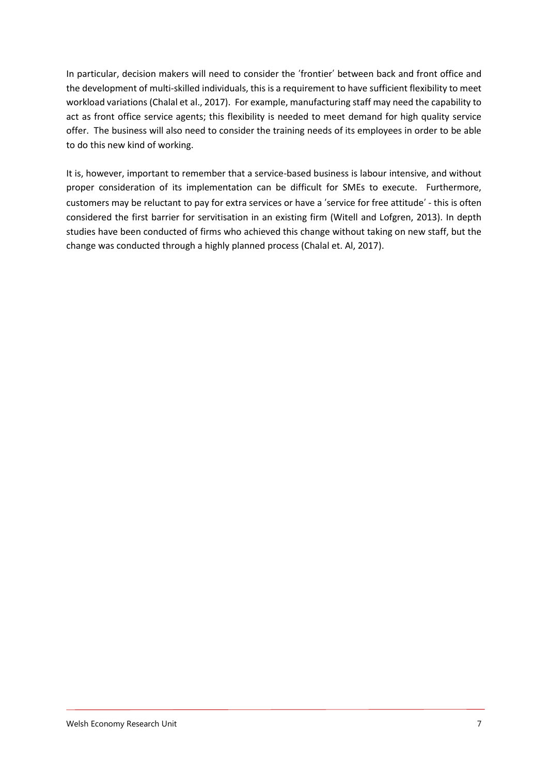In particular, decision makers will need to consider the 'frontier' between back and front office and the development of multi-skilled individuals, this is a requirement to have sufficient flexibility to meet workload variations (Chalal et al., 2017). For example, manufacturing staff may need the capability to act as front office service agents; this flexibility is needed to meet demand for high quality service offer. The business will also need to consider the training needs of its employees in order to be able to do this new kind of working.

It is, however, important to remember that a service-based business is labour intensive, and without proper consideration of its implementation can be difficult for SMEs to execute. Furthermore, customers may be reluctant to pay for extra services or have a 'service for free attitude' - this is often considered the first barrier for servitisation in an existing firm (Witell and Lofgren, 2013). In depth studies have been conducted of firms who achieved this change without taking on new staff, but the change was conducted through a highly planned process (Chalal et. Al, 2017).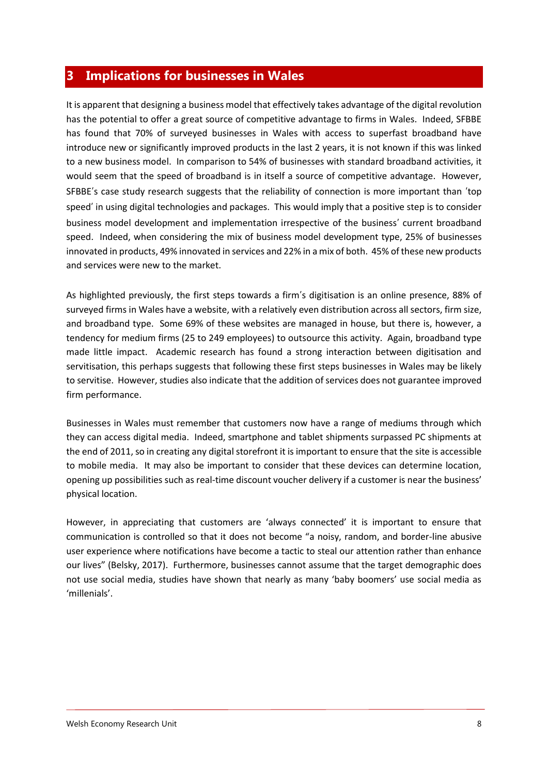#### <span id="page-9-0"></span>**3 Implications for businesses in Wales**

It is apparent that designing a business model that effectively takes advantage of the digital revolution has the potential to offer a great source of competitive advantage to firms in Wales. Indeed, SFBBE has found that 70% of surveyed businesses in Wales with access to superfast broadband have introduce new or significantly improved products in the last 2 years, it is not known if this was linked to a new business model. In comparison to 54% of businesses with standard broadband activities, it would seem that the speed of broadband is in itself a source of competitive advantage. However, SFBBE's case study research suggests that the reliability of connection is more important than 'top speed' in using digital technologies and packages. This would imply that a positive step is to consider business model development and implementation irrespective of the business' current broadband speed. Indeed, when considering the mix of business model development type, 25% of businesses innovated in products, 49% innovated in services and 22% in a mix of both. 45% of these new products and services were new to the market.

As highlighted previously, the first steps towards a firm's digitisation is an online presence, 88% of surveyed firms in Wales have a website, with a relatively even distribution across all sectors, firm size, and broadband type. Some 69% of these websites are managed in house, but there is, however, a tendency for medium firms (25 to 249 employees) to outsource this activity. Again, broadband type made little impact. Academic research has found a strong interaction between digitisation and servitisation, this perhaps suggests that following these first steps businesses in Wales may be likely to servitise. However, studies also indicate that the addition of services does not guarantee improved firm performance.

Businesses in Wales must remember that customers now have a range of mediums through which they can access digital media. Indeed, smartphone and tablet shipments surpassed PC shipments at the end of 2011, so in creating any digital storefront it is important to ensure that the site is accessible to mobile media. It may also be important to consider that these devices can determine location, opening up possibilities such as real-time discount voucher delivery if a customer is near the business' physical location.

However, in appreciating that customers are 'always connected' it is important to ensure that communication is controlled so that it does not become "a noisy, random, and border-line abusive user experience where notifications have become a tactic to steal our attention rather than enhance our lives" (Belsky, 2017). Furthermore, businesses cannot assume that the target demographic does not use social media, studies have shown that nearly as many 'baby boomers' use social media as 'millenials'.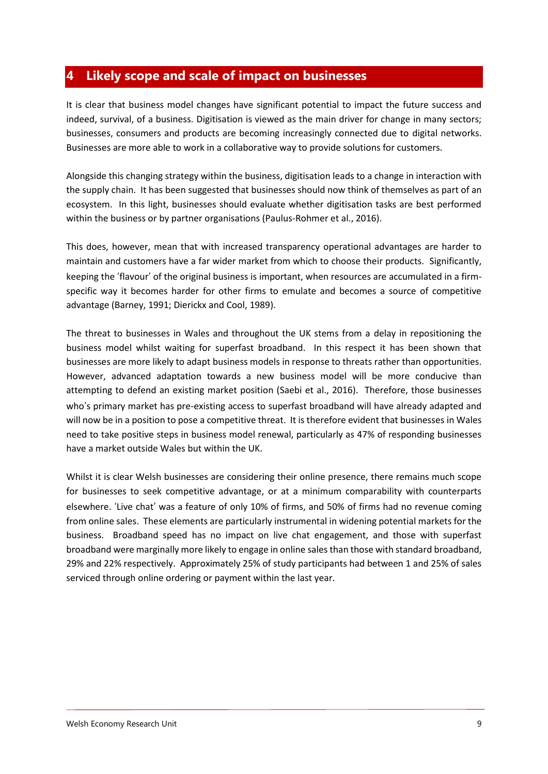## <span id="page-10-0"></span>**4 Likely scope and scale of impact on businesses**

It is clear that business model changes have significant potential to impact the future success and indeed, survival, of a business. Digitisation is viewed as the main driver for change in many sectors; businesses, consumers and products are becoming increasingly connected due to digital networks. Businesses are more able to work in a collaborative way to provide solutions for customers.

Alongside this changing strategy within the business, digitisation leads to a change in interaction with the supply chain. It has been suggested that businesses should now think of themselves as part of an ecosystem. In this light, businesses should evaluate whether digitisation tasks are best performed within the business or by partner organisations (Paulus-Rohmer et al., 2016).

This does, however, mean that with increased transparency operational advantages are harder to maintain and customers have a far wider market from which to choose their products. Significantly, keeping the 'flavour' of the original business is important, when resources are accumulated in a firmspecific way it becomes harder for other firms to emulate and becomes a source of competitive advantage (Barney, 1991; Dierickx and Cool, 1989).

The threat to businesses in Wales and throughout the UK stems from a delay in repositioning the business model whilst waiting for superfast broadband. In this respect it has been shown that businesses are more likely to adapt business models in response to threats rather than opportunities. However, advanced adaptation towards a new business model will be more conducive than attempting to defend an existing market position (Saebi et al., 2016). Therefore, those businesses who's primary market has pre-existing access to superfast broadband will have already adapted and will now be in a position to pose a competitive threat. It is therefore evident that businesses in Wales need to take positive steps in business model renewal, particularly as 47% of responding businesses have a market outside Wales but within the UK.

Whilst it is clear Welsh businesses are considering their online presence, there remains much scope for businesses to seek competitive advantage, or at a minimum comparability with counterparts elsewhere. 'Live chat' was a feature of only 10% of firms, and 50% of firms had no revenue coming from online sales. These elements are particularly instrumental in widening potential markets for the business. Broadband speed has no impact on live chat engagement, and those with superfast broadband were marginally more likely to engage in online sales than those with standard broadband, 29% and 22% respectively. Approximately 25% of study participants had between 1 and 25% of sales serviced through online ordering or payment within the last year.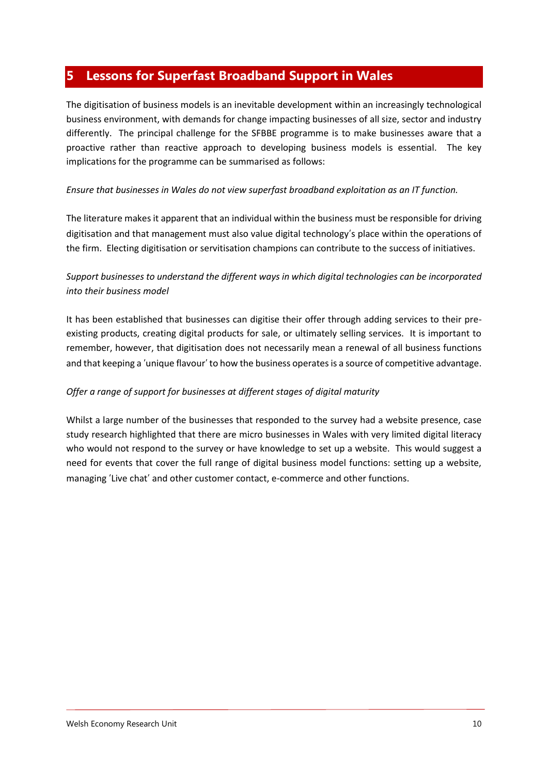### <span id="page-11-0"></span>**5 Lessons for Superfast Broadband Support in Wales**

The digitisation of business models is an inevitable development within an increasingly technological business environment, with demands for change impacting businesses of all size, sector and industry differently. The principal challenge for the SFBBE programme is to make businesses aware that a proactive rather than reactive approach to developing business models is essential. The key implications for the programme can be summarised as follows:

#### *Ensure that businesses in Wales do not view superfast broadband exploitation as an IT function.*

The literature makes it apparent that an individual within the business must be responsible for driving digitisation and that management must also value digital technology's place within the operations of the firm. Electing digitisation or servitisation champions can contribute to the success of initiatives.

#### *Support businesses to understand the different ways in which digital technologies can be incorporated into their business model*

It has been established that businesses can digitise their offer through adding services to their preexisting products, creating digital products for sale, or ultimately selling services. It is important to remember, however, that digitisation does not necessarily mean a renewal of all business functions and that keeping a 'unique flavour' to how the business operates is a source of competitive advantage.

#### *Offer a range of support for businesses at different stages of digital maturity*

Whilst a large number of the businesses that responded to the survey had a website presence, case study research highlighted that there are micro businesses in Wales with very limited digital literacy who would not respond to the survey or have knowledge to set up a website. This would suggest a need for events that cover the full range of digital business model functions: setting up a website, managing 'Live chat' and other customer contact, e-commerce and other functions.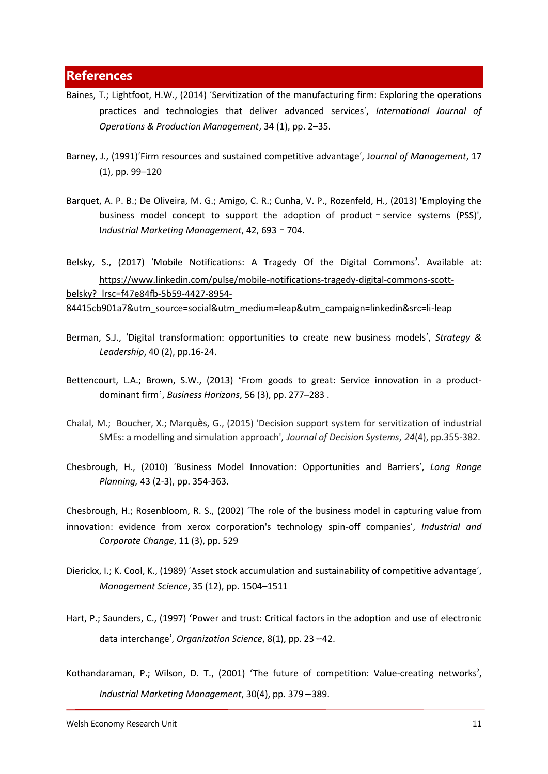#### <span id="page-12-0"></span>**References**

- Baines, T.; Lightfoot, H.W., (2014) 'Servitization of the manufacturing firm: Exploring the operations practices and technologies that deliver advanced services', *International Journal of Operations & Production Management*, 34 (1), pp. 2–35.
- Barney, J., (1991)'Firm resources and sustained competitive advantage', J*ournal of Management*, 17 (1), pp. 99–120
- Barquet, A. P. B.; De Oliveira, M. G.; Amigo, C. R.; Cunha, V. P., Rozenfeld, H., (2013) 'Employing the business model concept to support the adoption of product–service systems (PSS)', I*ndustrial Marketing Management*, 42, 693–704.

Belsky, S., (2017) 'Mobile Notifications: A Tragedy Of the Digital Commons'. Available at: [https://www.linkedin.com/pulse/mobile-notifications-tragedy-digital-commons-scott](https://www.linkedin.com/pulse/mobile-notifications-tragedy-digital-commons-scott-belsky?_lrsc=f47e84fb-5b59-4427-8954-84415cb901a7&utm_source=social&utm_medium=leap&utm_campaign=linkedin&src=li-leap)[belsky?\\_lrsc=f47e84fb-5b59-4427-8954-](https://www.linkedin.com/pulse/mobile-notifications-tragedy-digital-commons-scott-belsky?_lrsc=f47e84fb-5b59-4427-8954-84415cb901a7&utm_source=social&utm_medium=leap&utm_campaign=linkedin&src=li-leap) [84415cb901a7&utm\\_source=social&utm\\_medium=leap&utm\\_campaign=linkedin&src=li-leap](https://www.linkedin.com/pulse/mobile-notifications-tragedy-digital-commons-scott-belsky?_lrsc=f47e84fb-5b59-4427-8954-84415cb901a7&utm_source=social&utm_medium=leap&utm_campaign=linkedin&src=li-leap)

- Berman, S.J., 'Digital transformation: opportunities to create new business models', *Strategy & Leadership*, 40 (2), pp.16-24.
- Bettencourt, L.A.; Brown, S.W., (2013) 'From goods to great: Service innovation in a productdominant firm', *Business Horizons*, 56 (3), pp. 277–283 .
- Chalal, M.; Boucher, X.; Marquès, G., (2015) 'Decision support system for servitization of industrial SMEs: a modelling and simulation approach', *Journal of Decision Systems*, *24*(4), pp.355-382.
- Chesbrough, H., (2010) 'Business Model Innovation: Opportunities and Barriers', *Long Range Planning,* 43 (2-3), pp. 354-363.
- Chesbrough, H.; Rosenbloom, R. S., (2002) 'The role of the business model in capturing value from innovation: evidence from xerox corporation's technology spin-off companies', *Industrial and Corporate Change*, 11 (3), pp. 529
- Dierickx, I.; K. Cool, K., (1989) 'Asset stock accumulation and sustainability of competitive advantage', *Management Science*, 35 (12), pp. 1504–1511
- Hart, P.; Saunders, C., (1997) 'Power and trust: Critical factors in the adoption and use of electronic data interchange', *Organization Science*, 8(1), pp. 23–42.
- Kothandaraman, P.; Wilson, D. T., (2001) 'The future of competition: Value-creating networks', *Industrial Marketing Management*, 30(4), pp. 379–389.